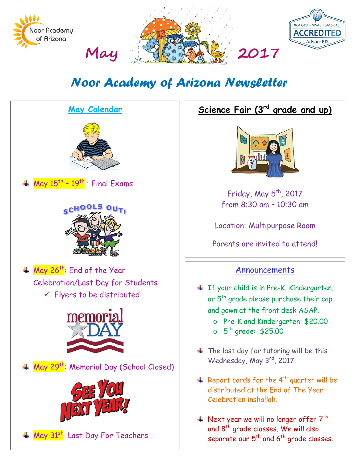

# *Noor Academy of Arizona Newsletter*



# **Science Fair (3rd grade and up)**



Friday, May  $5<sup>th</sup>$ , 2017 from 8:30 am – 10:30 am

Location: Multipurpose Room

Parents are invited to attend!

#### **Announcements**

- If your child is in Pre-K, Kindergarten, or 5<sup>th</sup> grade please purchase their cap and gown at the front desk ASAP.
	- o Pre-K and Kindergarten: \$20.00
	- $\circ$  5<sup>th</sup> grade: \$25.00
- $\ddot{\bullet}$  The last day for tutoring will be this Wednesday, May 3rd, 2017.
- $\triangleq$  Report cards for the 4<sup>th</sup> quarter will be distributed at the End of The Year Celebration inshallah.
- $\textcolor{red}{\textbf{4}}$  Next year we will no longer offer  $7^{\text{th}}$ and 8th grade classes. We will also separate our  $5<sup>th</sup>$  and  $6<sup>th</sup>$  grade classes.